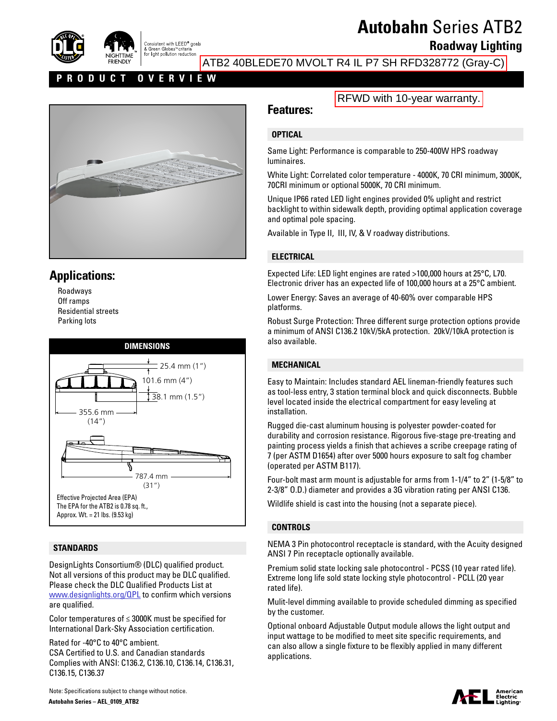

# **Autobahn** Series ATB2

**Roadway Lighting**

ATB2 40BLEDE70 MVOLT R4 IL P7 SH RFD328772 (Gray-C)

#### **PRODUCT OVERVIEW**



## **Applications:**

Roadways Off ramps Residential streets Parking lots



#### **STANDARDS**

155.6 mm<br>355.6 mm (14") DesignLights Consortium® (DLC) qualified product. Not all versions of this product may be DLC qualified. Please check the DLC Qualified Products List at [www.designlights.org/QPL](http://www.designlights.org/QPL) to confirm which versions are qualified.

Color temperatures of ≤ 3000K must be specified for International Dark-Sky Association certification.

Rated for -40°C to 40°C ambient. CSA Certified to U.S. and Canadian standards Complies with ANSI: C136.2, C136.10, C136.14, C136.31, C136.15, C136.37

## **Features:**

#### **OPTICAL**

Same Light: Performance is comparable to 250-400W HPS roadway luminaires.

White Light: Correlated color temperature - 4000K, 70 CRI minimum, 3000K, 70CRI minimum or optional 5000K, 70 CRI minimum.

Unique IP66 rated LED light engines provided 0% uplight and restrict backlight to within sidewalk depth, providing optimal application coverage and optimal pole spacing.

Available in Type II, III, IV, & V roadway distributions.

#### **ELECTRICAL**

Expected Life: LED light engines are rated >100,000 hours at 25°C, L70. Electronic driver has an expected life of 100,000 hours at a 25°C ambient.

Lower Energy: Saves an average of 40-60% over comparable HPS platforms.

Robust Surge Protection: Three different surge protection options provide a minimum of ANSI C136.2 10kV/5kA protection. 20kV/10kA protection is also available.

#### **MECHANICAL**

Easy to Maintain: Includes standard AEL lineman-friendly features such as tool-less entry, 3 station terminal block and quick disconnects. Bubble level located inside the electrical compartment for easy leveling at installation.

Rugged die-cast aluminum housing is polyester powder-coated for durability and corrosion resistance. Rigorous five-stage pre-treating and painting process yields a finish that achieves a scribe creepage rating of 7 (per ASTM D1654) after over 5000 hours exposure to salt fog chamber (operated per ASTM B117).

Four-bolt mast arm mount is adjustable for arms from 1-1/4" to 2" (1-5/8" to 2-3/8" O.D.) diameter and provides a 3G vibration rating per ANSI C136.

Wildlife shield is cast into the housing (not a separate piece).

#### **CONTROLS**

NEMA 3 Pin photocontrol receptacle is standard, with the Acuity designed ANSI 7 Pin receptacle optionally available.

Premium solid state locking sale photocontrol - PCSS (10 year rated life). Extreme long life sold state locking style photocontrol - PCLL (20 year rated life).

Mulit-level dimming available to provide scheduled dimming as specified by the customer.

Optional onboard Adjustable Output module allows the light output and input wattage to be modified to meet site specific requirements, and can also allow a single fixture to be flexibly applied in many different applications.



Note: Specifications subject to change without notice. **Autobahn Series – AEL\_0109\_ATB2**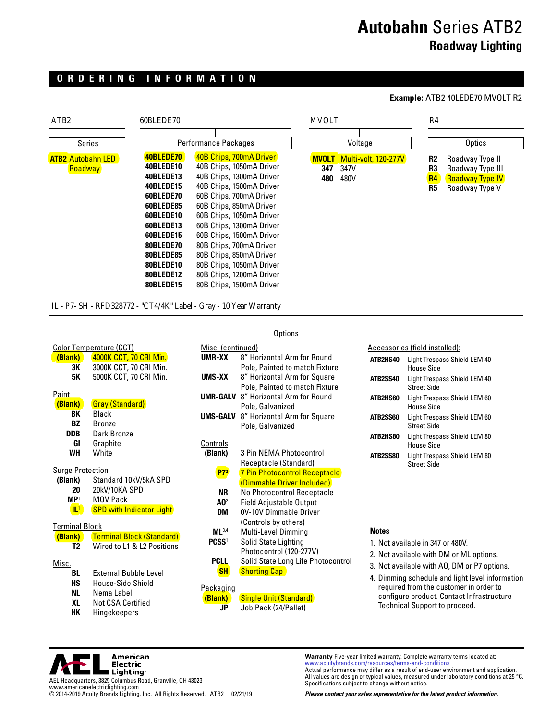## **Autobahn** Series ATB2 **Roadway Lighting**

### **ORDERING INFORMATION**

| ATB <sub>2</sub>         | 60BLEDE70 |                          | <b>MVOLT</b> |                             | R4             |            |  |
|--------------------------|-----------|--------------------------|--------------|-----------------------------|----------------|------------|--|
| <b>Series</b>            |           | Performance Packages     |              | Voltage                     |                | Optics     |  |
|                          |           |                          |              |                             |                |            |  |
| <b>ATB2 Autobahn LED</b> | 40BLEDE70 | 40B Chips, 700mA Driver  | <b>MVOLT</b> | <b>Multi-volt, 120-277V</b> | R <sub>2</sub> | Roadway Ty |  |
| Roadway                  | 40BLEDE10 | 40B Chips, 1050mA Driver | 347          | 347V                        | R3             | Roadway Ty |  |
|                          | 40BLEDE13 | 40B Chips, 1300mA Driver | 480          | 480V                        | <b>R4</b>      | Roadway Ty |  |
|                          | 40BLEDE15 | 40B Chips, 1500mA Driver |              |                             | R5             | Roadway Ty |  |
|                          | 60BLEDE70 | 60B Chips, 700mA Driver  |              |                             |                |            |  |
|                          | 60BLEDE85 | 60B Chips, 850mA Driver  |              |                             |                |            |  |
|                          | 60BLEDE10 | 60B Chips, 1050mA Driver |              |                             |                |            |  |
|                          | 60BLEDE13 | 60B Chips, 1300mA Driver |              |                             |                |            |  |
|                          | 60BLEDE15 | 60B Chips, 1500mA Driver |              |                             |                |            |  |
|                          | 80BLEDE70 | 80B Chips, 700mA Driver  |              |                             |                |            |  |
|                          | 80BLEDE85 | 80B Chips, 850mA Driver  |              |                             |                |            |  |
|                          | 80BLEDE10 | 80B Chips, 1050mA Driver |              |                             |                |            |  |
|                          | 80BLEDE12 | 80B Chips, 1200mA Driver |              |                             |                |            |  |
|                          | 80BLEDE15 | 80B Chips, 1500mA Driver |              |                             |                |            |  |

# **Example:** ATB2 40LEDE70 MVOLT R2



IL - P7- SH - RFD328772 - "CT4/4K" Label - Gray - 10 Year Warranty

|                                                                        |                                                                                                      |                                                         | Options                                                                                                     |              |                                                                                                                                                                                                                                                                   |
|------------------------------------------------------------------------|------------------------------------------------------------------------------------------------------|---------------------------------------------------------|-------------------------------------------------------------------------------------------------------------|--------------|-------------------------------------------------------------------------------------------------------------------------------------------------------------------------------------------------------------------------------------------------------------------|
|                                                                        | <b>Color Temperature (CCT)</b>                                                                       | Misc. (continued)                                       |                                                                                                             |              | Accessories (field installed):                                                                                                                                                                                                                                    |
| (Blank)<br>3К                                                          | 4000K CCT, 70 CRI Min.<br>3000K CCT, 70 CRI Min.                                                     | UMR-XX                                                  | 8" Horizontal Arm for Round<br>Pole, Painted to match Fixture                                               | ATB2HS40     | Light Trespass Shield LEM 40<br>House Side                                                                                                                                                                                                                        |
| <b>5K</b>                                                              | 5000K CCT, 70 CRI Min.                                                                               | UMS-XX                                                  | 8" Horizontal Arm for Square<br>Pole, Painted to match Fixture                                              | ATB2SS40     | Light Trespass Shield LEM 40<br><b>Street Side</b>                                                                                                                                                                                                                |
| <b>Paint</b><br>(Blank)                                                | <b>Gray (Standard)</b>                                                                               |                                                         | <b>UMR-GALV</b> 8" Horizontal Arm for Round<br>Pole, Galvanized                                             | ATB2HS60     | Light Trespass Shield LEM 60<br>House Side                                                                                                                                                                                                                        |
| BK<br><b>BZ</b>                                                        | Black<br><b>Bronze</b>                                                                               | UMS-GALV                                                | 8" Horizontal Arm for Square<br>Pole, Galvanized                                                            | ATB2SS60     | Light Trespass Shield LEM 60<br>Street Side                                                                                                                                                                                                                       |
| <b>DDB</b><br>GI                                                       | Dark Bronze<br>Graphite                                                                              | Controls                                                |                                                                                                             | ATB2HS80     | Light Trespass Shield LEM 80<br>House Side                                                                                                                                                                                                                        |
| <b>WH</b>                                                              | White                                                                                                | (Blank)                                                 | 3 Pin NEMA Photocontrol<br>Receptacle (Standard)                                                            | ATB2SS80     | Light Trespass Shield LEM 80<br><b>Street Side</b>                                                                                                                                                                                                                |
| <b>Surge Protection</b><br>(Blank)                                     | Standard 10kV/5kA SPD                                                                                | $P7^2$                                                  | 7 Pin Photocontrol Receptacle<br>(Dimmable Driver Included)                                                 |              |                                                                                                                                                                                                                                                                   |
| 20<br>MP <sup>1</sup><br>$\mathbf{L}^1$                                | 20kV/10KA SPD<br><b>MOV Pack</b><br><b>SPD with Indicator Light</b>                                  | <b>NR</b><br>AD <sup>2</sup>                            | No Photocontrol Receptacle<br>Field Adjustable Output                                                       |              |                                                                                                                                                                                                                                                                   |
| <b>Terminal Block</b>                                                  |                                                                                                      | DM                                                      | 0V-10V Dimmable Driver<br>(Controls by others)                                                              |              |                                                                                                                                                                                                                                                                   |
| (Blank)<br>T <sub>2</sub>                                              | <b>Terminal Block (Standard)</b><br>Wired to L1 & L2 Positions                                       | ML <sup>3,4</sup><br><b>PCSS1</b>                       | <b>Multi-Level Dimming</b><br>Solid State Lighting<br>Photocontrol (120-277V)                               | <b>Notes</b> | 1. Not available in 347 or 480V.                                                                                                                                                                                                                                  |
| Misc.<br><b>BL</b><br><b>HS</b><br><b>NL</b><br><b>XL</b><br><b>HK</b> | <b>External Bubble Level</b><br>House-Side Shield<br>Nema Label<br>Not CSA Certified<br>Hingekeepers | <b>PCLL</b><br><b>SH</b><br>Packaging<br>(Blank)<br>JP. | Solid State Long Life Photocontrol<br><b>Shorting Cap</b><br>Single Unit (Standard)<br>Job Pack (24/Pallet) |              | 2. Not available with DM or ML options.<br>3. Not available with AO, DM or P7 options.<br>4. Dimming schedule and light level information<br>required from the customer in order to<br>configure product. Contact Infrastructure<br>Technical Support to proceed. |



**Warranty** Five-year limited warranty. Complete warranty terms located at: [www.acuitybrands.com/resources/terms-and-conditions](http://www.acuitybrands.com/resources/terms-and-conditions)

Actual performance may differ as a result of end-user environment and application. All values are design or typical values, measured under laboratory conditions at 25 °C. Specifications subject to change without notice.

*Please contact your sales representative for the latest product information.*